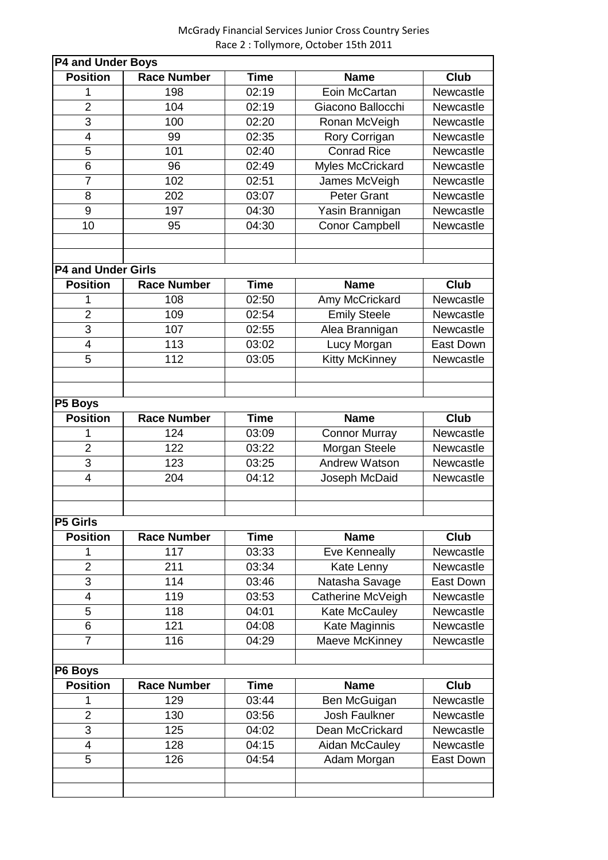McGrady Financial Services Junior Cross Country Series Race 2 : Tollymore, October 15th 2011

| <b>P4 and Under Boys</b>  |                    |             |                       |           |  |  |  |
|---------------------------|--------------------|-------------|-----------------------|-----------|--|--|--|
| <b>Position</b>           | <b>Race Number</b> | <b>Time</b> | <b>Name</b>           | Club      |  |  |  |
| 1                         | 198                | 02:19       | Eoin McCartan         | Newcastle |  |  |  |
| $\overline{2}$            | 104                | 02:19       | Giacono Ballocchi     | Newcastle |  |  |  |
| 3                         | 100                | 02:20       | Ronan McVeigh         | Newcastle |  |  |  |
| $\overline{4}$            | 99                 | 02:35       | Rory Corrigan         | Newcastle |  |  |  |
| 5                         | 101                | 02:40       | <b>Conrad Rice</b>    | Newcastle |  |  |  |
| 6                         | 96                 | 02:49       | Myles McCrickard      | Newcastle |  |  |  |
| $\overline{7}$            | 102                | 02:51       | James McVeigh         | Newcastle |  |  |  |
| 8                         | 202                | 03:07       | <b>Peter Grant</b>    | Newcastle |  |  |  |
| 9                         | 197                | 04:30       | Yasin Brannigan       | Newcastle |  |  |  |
| 10                        | 95                 | 04:30       | <b>Conor Campbell</b> | Newcastle |  |  |  |
|                           |                    |             |                       |           |  |  |  |
|                           |                    |             |                       |           |  |  |  |
| <b>P4 and Under Girls</b> |                    |             |                       |           |  |  |  |
| <b>Position</b>           | <b>Race Number</b> | <b>Time</b> | <b>Name</b>           | Club      |  |  |  |
| 1                         | 108                | 02:50       | Amy McCrickard        | Newcastle |  |  |  |
| $\overline{2}$            | 109                | 02:54       | <b>Emily Steele</b>   | Newcastle |  |  |  |
| 3                         | 107                | 02:55       | Alea Brannigan        | Newcastle |  |  |  |
| $\overline{4}$            | 113                | 03:02       | Lucy Morgan           | East Down |  |  |  |
| 5                         | 112                | 03:05       | <b>Kitty McKinney</b> | Newcastle |  |  |  |
|                           |                    |             |                       |           |  |  |  |
|                           |                    |             |                       |           |  |  |  |
| P5 Boys                   |                    |             |                       |           |  |  |  |
| <b>Position</b>           | <b>Race Number</b> | <b>Time</b> | <b>Name</b>           | Club      |  |  |  |
| 1                         | 124                | 03:09       | <b>Connor Murray</b>  | Newcastle |  |  |  |
| $\overline{2}$            | 122                | 03:22       | Morgan Steele         | Newcastle |  |  |  |
| 3                         | 123                | 03:25       | <b>Andrew Watson</b>  | Newcastle |  |  |  |
| $\overline{4}$            | 204                | 04:12       | Joseph McDaid         | Newcastle |  |  |  |
|                           |                    |             |                       |           |  |  |  |
|                           |                    |             |                       |           |  |  |  |
| <b>P5 Girls</b>           |                    |             |                       |           |  |  |  |
| <b>Position</b>           | <b>Race Number</b> | <b>Time</b> | <b>Name</b>           | Club      |  |  |  |
| 1                         | 117                | 03:33       | <b>Eve Kenneally</b>  | Newcastle |  |  |  |
| $\overline{2}$            | 211                | 03:34       | Kate Lenny            | Newcastle |  |  |  |
| 3                         | 114                | 03:46       | Natasha Savage        | East Down |  |  |  |
| $\overline{4}$            | 119                | 03:53       | Catherine McVeigh     | Newcastle |  |  |  |
| 5                         | 118                | 04:01       | Kate McCauley         | Newcastle |  |  |  |
| 6                         | 121                | 04:08       | Kate Maginnis         | Newcastle |  |  |  |
| $\overline{7}$            | 116                | 04:29       | Maeve McKinney        | Newcastle |  |  |  |
|                           |                    |             |                       |           |  |  |  |
| P6 Boys                   |                    |             |                       |           |  |  |  |
| <b>Position</b>           | <b>Race Number</b> | <b>Time</b> | <b>Name</b>           | Club      |  |  |  |
|                           | 129                | 03:44       | Ben McGuigan          | Newcastle |  |  |  |
| $\overline{2}$            | 130                | 03:56       | <b>Josh Faulkner</b>  | Newcastle |  |  |  |
| 3                         | 125                | 04:02       | Dean McCrickard       | Newcastle |  |  |  |
| 4                         | 128                | 04:15       | Aidan McCauley        | Newcastle |  |  |  |
| 5                         | 126                | 04:54       | Adam Morgan           | East Down |  |  |  |
|                           |                    |             |                       |           |  |  |  |
|                           |                    |             |                       |           |  |  |  |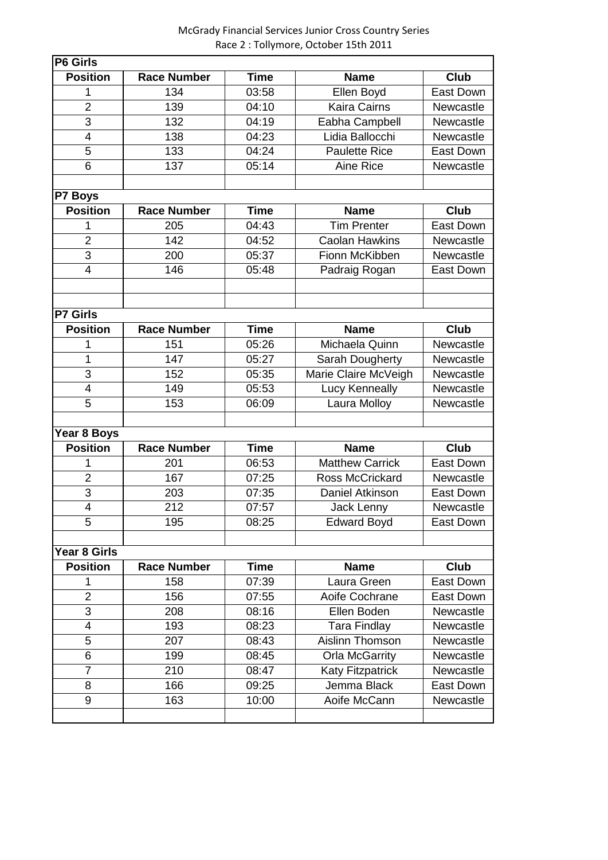## McGrady Financial Services Junior Cross Country Series Race 2 : Tollymore, October 15th 2011

| <b>P6 Girls</b> |                    |             |                         |                  |  |  |  |  |
|-----------------|--------------------|-------------|-------------------------|------------------|--|--|--|--|
| <b>Position</b> | <b>Race Number</b> | <b>Time</b> | <b>Name</b>             | Club             |  |  |  |  |
| 1               | 134                | 03:58       | Ellen Boyd              | <b>East Down</b> |  |  |  |  |
| $\overline{2}$  | 139                | 04:10       | <b>Kaira Cairns</b>     | Newcastle        |  |  |  |  |
| $\overline{3}$  | 132                | 04:19       | Eabha Campbell          | Newcastle        |  |  |  |  |
| $\overline{4}$  | 138                | 04:23       | Lidia Ballocchi         | Newcastle        |  |  |  |  |
| $\overline{5}$  | 133                | 04:24       | <b>Paulette Rice</b>    | East Down        |  |  |  |  |
| 6               | 137                | 05:14       | <b>Aine Rice</b>        | Newcastle        |  |  |  |  |
|                 |                    |             |                         |                  |  |  |  |  |
| <b>P7 Boys</b>  |                    |             |                         |                  |  |  |  |  |
| <b>Position</b> | <b>Race Number</b> | <b>Time</b> | <b>Name</b>             | <b>Club</b>      |  |  |  |  |
| 1               | 205                | 04:43       | <b>Tim Prenter</b>      | East Down        |  |  |  |  |
| $\overline{2}$  | 142                | 04:52       | <b>Caolan Hawkins</b>   | Newcastle        |  |  |  |  |
| 3               | 200                | 05:37       | Fionn McKibben          | Newcastle        |  |  |  |  |
| $\overline{4}$  | 146                | 05:48       | Padraig Rogan           | East Down        |  |  |  |  |
|                 |                    |             |                         |                  |  |  |  |  |
|                 |                    |             |                         |                  |  |  |  |  |
| <b>P7 Girls</b> |                    |             |                         |                  |  |  |  |  |
| <b>Position</b> | <b>Race Number</b> | <b>Time</b> | <b>Name</b>             | <b>Club</b>      |  |  |  |  |
| 1               | 151                | 05:26       | Michaela Quinn          | Newcastle        |  |  |  |  |
| 1               | 147                | 05:27       | Sarah Dougherty         | Newcastle        |  |  |  |  |
| 3               | 152                | 05:35       | Marie Claire McVeigh    | Newcastle        |  |  |  |  |
| 4               | 149                | 05:53       | Lucy Kenneally          | Newcastle        |  |  |  |  |
| 5               | 153                | 06:09       | Laura Molloy            | Newcastle        |  |  |  |  |
|                 |                    |             |                         |                  |  |  |  |  |
| Year 8 Boys     |                    |             |                         |                  |  |  |  |  |
| <b>Position</b> | <b>Race Number</b> | <b>Time</b> | <b>Name</b>             | Club             |  |  |  |  |
| 1               | 201                | 06:53       | <b>Matthew Carrick</b>  | <b>East Down</b> |  |  |  |  |
| $\overline{2}$  | 167                | 07:25       | <b>Ross McCrickard</b>  | Newcastle        |  |  |  |  |
| $\overline{3}$  | 203                | 07:35       | Daniel Atkinson         | East Down        |  |  |  |  |
| $\overline{4}$  | 212                | 07:57       | Jack Lenny              | Newcastle        |  |  |  |  |
| 5               | 195                | 08:25       | <b>Edward Boyd</b>      | East Down        |  |  |  |  |
|                 |                    |             |                         |                  |  |  |  |  |
| Year 8 Girls    |                    |             |                         |                  |  |  |  |  |
| <b>Position</b> | <b>Race Number</b> | Time        | <b>Name</b>             | Club             |  |  |  |  |
| 1               | 158                | 07:39       | Laura Green             | East Down        |  |  |  |  |
| $\overline{2}$  | 156                | 07:55       | Aoife Cochrane          | East Down        |  |  |  |  |
| 3               | 208                | 08:16       | Ellen Boden             | Newcastle        |  |  |  |  |
| 4               | 193                | 08:23       | <b>Tara Findlay</b>     | Newcastle        |  |  |  |  |
| 5               | 207                | 08:43       | Aislinn Thomson         | Newcastle        |  |  |  |  |
| 6               | 199                | 08:45       | <b>Orla McGarrity</b>   | Newcastle        |  |  |  |  |
| 7               | 210                | 08:47       | <b>Katy Fitzpatrick</b> | Newcastle        |  |  |  |  |
| 8               | 166                | 09:25       | Jemma Black             | East Down        |  |  |  |  |
| 9               | 163                | 10:00       | Aoife McCann            | Newcastle        |  |  |  |  |
|                 |                    |             |                         |                  |  |  |  |  |